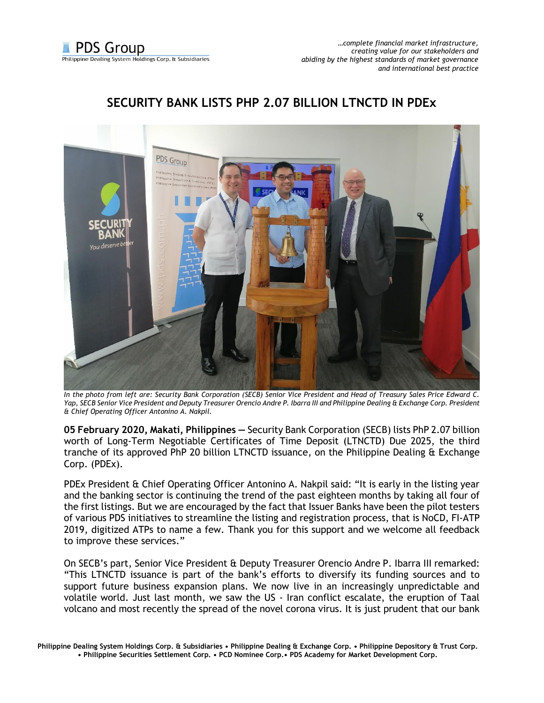## PDS Group

## **SECURITY BANK LISTS PHP 2.07 BILLION LTNCTD IN PDEx**

*In the photo from left are: Security Bank Corporation (SECB) Senior Vice President and Head of Treasury Sales Price Edward C. Yap, SECB Senior Vice President and Deputy Treasurer Orencio Andre P. Ibarra III and Philippine Dealing & Exchange Corp. President & Chief Operating Officer Antonino A. Nakpil.* 

**05 February 2020, Makati, Philippines —** Security Bank Corporation (SECB) lists PhP 2.07 billion worth of Long-Term Negotiable Certificates of Time Deposit (LTNCTD) Due 2025, the third tranche of its approved PhP 20 billion LTNCTD issuance, on the Philippine Dealing & Exchange Corp. (PDEx).

PDEx President & Chief Operating Officer Antonino A. Nakpil said: "It is early in the listing year and the banking sector is continuing the trend of the past eighteen months by taking all four of the first listings. But we are encouraged by the fact that Issuer Banks have been the pilot testers of various PDS initiatives to streamline the listing and registration process, that is NoCD, FI-ATP 2019, digitized ATPs to name a few. Thank you for this support and we welcome all feedback to improve these services."

On SECB's part, Senior Vice President & Deputy Treasurer Orencio Andre P. Ibarra III remarked: "This LTNCTD issuance is part of the bank's efforts to diversify its funding sources and to support future business expansion plans. We now live in an increasingly unpredictable and volatile world. Just last month, we saw the US - Iran conflict escalate, the eruption of Taal volcano and most recently the spread of the novel corona virus. It is just prudent that our bank